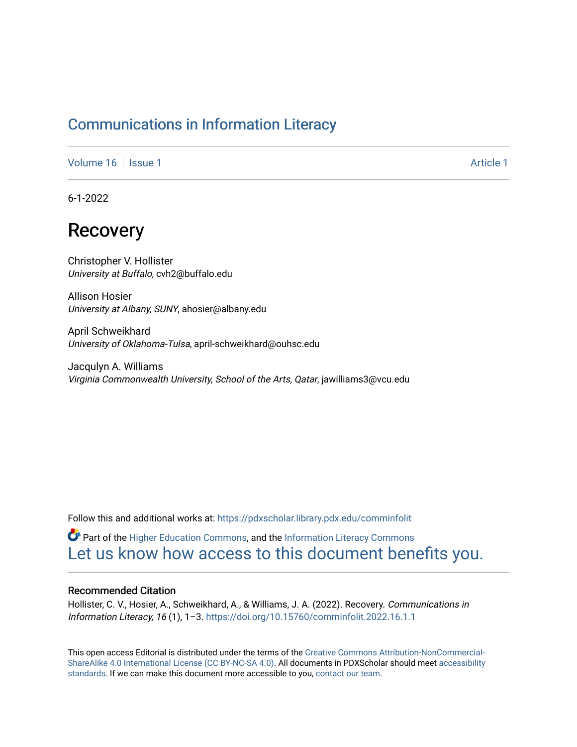### [Communications in Information Literacy](https://pdxscholar.library.pdx.edu/comminfolit)

[Volume 16](https://pdxscholar.library.pdx.edu/comminfolit/vol16) | [Issue 1](https://pdxscholar.library.pdx.edu/comminfolit/vol16/iss1) Article 1

6-1-2022

# Recovery

Christopher V. Hollister University at Buffalo, cvh2@buffalo.edu

Allison Hosier University at Albany, SUNY, ahosier@albany.edu

April Schweikhard University of Oklahoma-Tulsa, april-schweikhard@ouhsc.edu

Jacqulyn A. Williams Virginia Commonwealth University, School of the Arts, Qatar, jawilliams3@vcu.edu

Follow this and additional works at: [https://pdxscholar.library.pdx.edu/comminfolit](https://pdxscholar.library.pdx.edu/comminfolit?utm_source=pdxscholar.library.pdx.edu%2Fcomminfolit%2Fvol16%2Fiss1%2F1&utm_medium=PDF&utm_campaign=PDFCoverPages) 

**C** Part of the [Higher Education Commons,](https://network.bepress.com/hgg/discipline/1245?utm_source=pdxscholar.library.pdx.edu%2Fcomminfolit%2Fvol16%2Fiss1%2F1&utm_medium=PDF&utm_campaign=PDFCoverPages) and the Information Literacy Commons [Let us know how access to this document benefits you.](http://library.pdx.edu/services/pdxscholar-services/pdxscholar-feedback/) 

#### Recommended Citation

Hollister, C. V., Hosier, A., Schweikhard, A., & Williams, J. A. (2022). Recovery. Communications in Information Literacy, 16 (1), 1–3. <https://doi.org/10.15760/comminfolit.2022.16.1.1>

This open access Editorial is distributed under the terms of the [Creative Commons Attribution-NonCommercial-](https://creativecommons.org/licenses/by-nc-sa/4.0/)[ShareAlike 4.0 International License \(CC BY-NC-SA 4.0\).](https://creativecommons.org/licenses/by-nc-sa/4.0/) All documents in PDXScholar should meet [accessibility](https://pdxscholar.library.pdx.edu/accessibility.html) [standards](https://pdxscholar.library.pdx.edu/accessibility.html). If we can make this document more accessible to you, [contact our team.](mailto:pdxscholar@pdx.edu)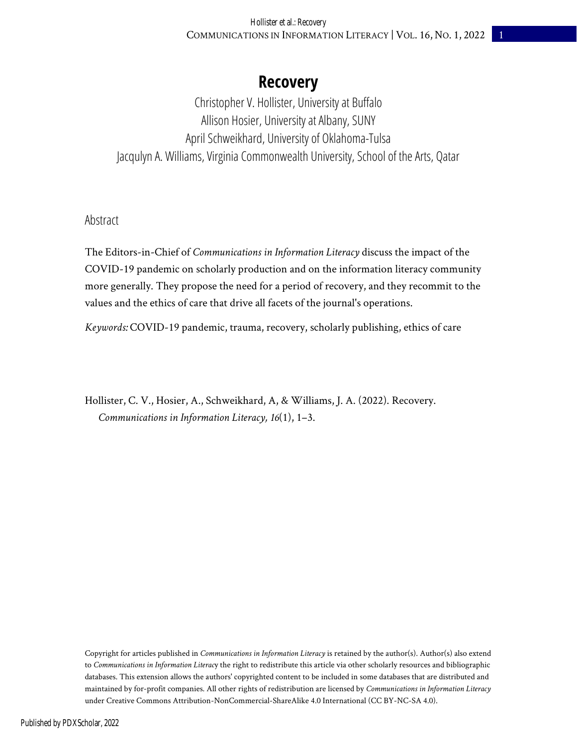## **Recovery**

Christopher V. Hollister, University at Buffalo Allison Hosier, University at Albany, SUNY April Schweikhard, University of Oklahoma-Tulsa Jacqulyn A. Williams, Virginia Commonwealth University, School of the Arts, Qatar

#### Abstract

The Editors-in-Chief of *Communications in Information Literacy* discuss the impact of the COVID-19 pandemic on scholarly production and on the information literacy community more generally. They propose the need for a period of recovery, and they recommit to the values and the ethics of care that drive all facets of the journal's operations.

*Keywords:* COVID-19 pandemic, trauma, recovery, scholarly publishing, ethics of care

Hollister, C. V., Hosier, A., Schweikhard, A, & Williams, J. A. (2022). Recovery. *Communications in Information Literacy, 16*(1), 1–3.

Copyright for articles published in *Communications in Information Literacy* is retained by the author(s). Author(s) also extend to *Communications in Information Literac*y the right to redistribute this article via other scholarly resources and bibliographic databases. This extension allows the authors' copyrighted content to be included in some databases that are distributed and maintained by for-profit companies. All other rights of redistribution are licensed by *Communications in Information Literacy* under Creative Commons Attribution-NonCommercial-ShareAlike 4.0 International (CC BY-NC-SA 4.0).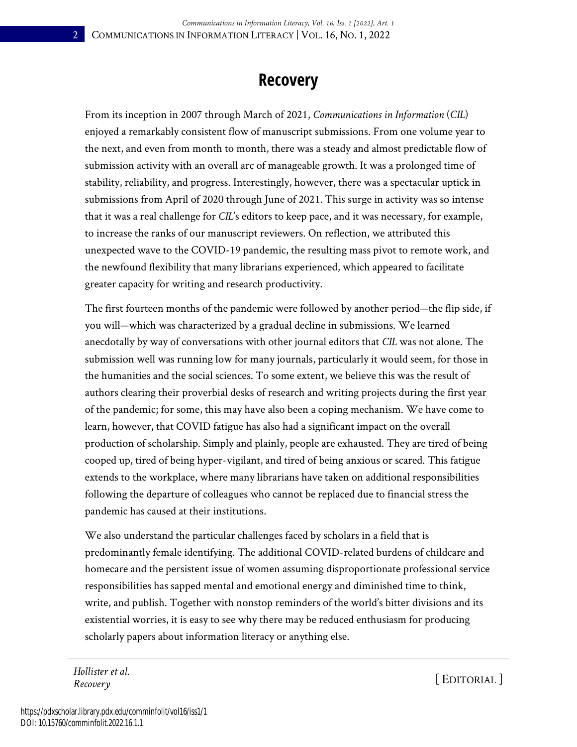### **Recovery**

From its inception in 2007 through March of 2021, *Communications in Information* (*CIL*) enjoyed a remarkably consistent flow of manuscript submissions. From one volume year to the next, and even from month to month, there was a steady and almost predictable flow of submission activity with an overall arc of manageable growth. It was a prolonged time of stability, reliability, and progress. Interestingly, however, there was a spectacular uptick in submissions from April of 2020 through June of 2021. This surge in activity was so intense that it was a real challenge for *CIL*'s editors to keep pace, and it was necessary, for example, to increase the ranks of our manuscript reviewers. On reflection, we attributed this unexpected wave to the COVID-19 pandemic, the resulting mass pivot to remote work, and the newfound flexibility that many librarians experienced, which appeared to facilitate greater capacity for writing and research productivity.

The first fourteen months of the pandemic were followed by another period—the flip side, if you will—which was characterized by a gradual decline in submissions. We learned anecdotally by way of conversations with other journal editors that *CIL* was not alone. The submission well was running low for many journals, particularly it would seem, for those in the humanities and the social sciences. To some extent, we believe this was the result of authors clearing their proverbial desks of research and writing projects during the first year of the pandemic; for some, this may have also been a coping mechanism. We have come to learn, however, that COVID fatigue has also had a significant impact on the overall production of scholarship. Simply and plainly, people are exhausted. They are tired of being cooped up, tired of being hyper-vigilant, and tired of being anxious or scared. This fatigue extends to the workplace, where many librarians have taken on additional responsibilities following the departure of colleagues who cannot be replaced due to financial stress the pandemic has caused at their institutions.

We also understand the particular challenges faced by scholars in a field that is predominantly female identifying. The additional COVID-related burdens of childcare and homecare and the persistent issue of women assuming disproportionate professional service responsibilities has sapped mental and emotional energy and diminished time to think, write, and publish. Together with nonstop reminders of the world's bitter divisions and its existential worries, it is easy to see why there may be reduced enthusiasm for producing scholarly papers about information literacy or anything else.

*Hollister et al. Recovery* [ EDITORIAL ]